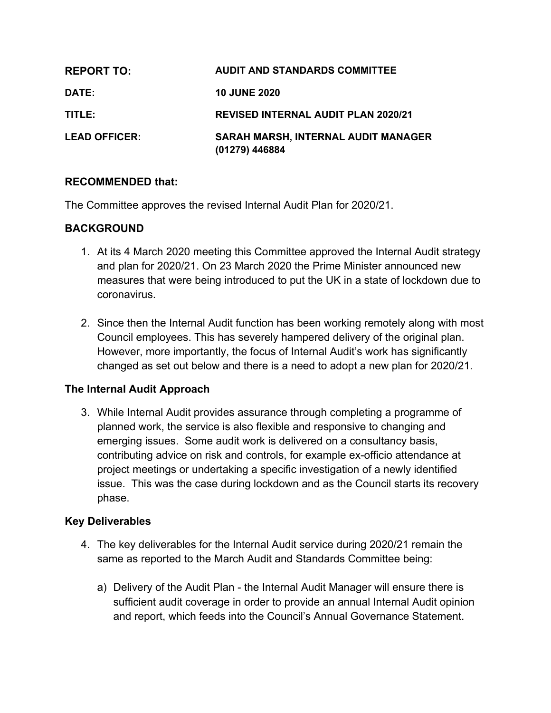| <b>REPORT TO:</b>    | <b>AUDIT AND STANDARDS COMMITTEE</b>                         |
|----------------------|--------------------------------------------------------------|
| DATE:                | <b>10 JUNE 2020</b>                                          |
| TITLE:               | <b>REVISED INTERNAL AUDIT PLAN 2020/21</b>                   |
| <b>LEAD OFFICER:</b> | <b>SARAH MARSH, INTERNAL AUDIT MANAGER</b><br>(01279) 446884 |

#### **RECOMMENDED that:**

The Committee approves the revised Internal Audit Plan for 2020/21.

#### **BACKGROUND**

- 1. At its 4 March 2020 meeting this Committee approved the Internal Audit strategy and plan for 2020/21. On 23 March 2020 the Prime Minister announced new measures that were being introduced to put the UK in a state of lockdown due to coronavirus.
- 2. Since then the Internal Audit function has been working remotely along with most Council employees. This has severely hampered delivery of the original plan. However, more importantly, the focus of Internal Audit's work has significantly changed as set out below and there is a need to adopt a new plan for 2020/21.

#### **The Internal Audit Approach**

3. While Internal Audit provides assurance through completing a programme of planned work, the service is also flexible and responsive to changing and emerging issues. Some audit work is delivered on a consultancy basis, contributing advice on risk and controls, for example ex-officio attendance at project meetings or undertaking a specific investigation of a newly identified issue. This was the case during lockdown and as the Council starts its recovery phase.

## **Key Deliverables**

- 4. The key deliverables for the Internal Audit service during 2020/21 remain the same as reported to the March Audit and Standards Committee being:
	- a) Delivery of the Audit Plan the Internal Audit Manager will ensure there is sufficient audit coverage in order to provide an annual Internal Audit opinion and report, which feeds into the Council's Annual Governance Statement.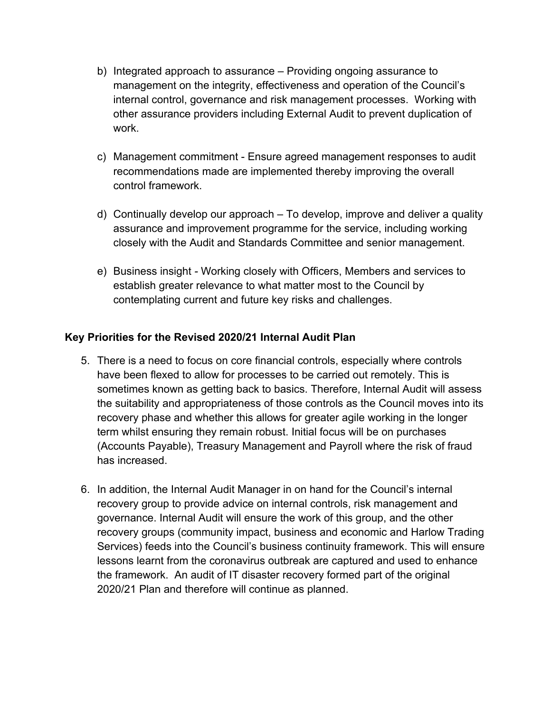- b) Integrated approach to assurance Providing ongoing assurance to management on the integrity, effectiveness and operation of the Council's internal control, governance and risk management processes. Working with other assurance providers including External Audit to prevent duplication of work.
- c) Management commitment Ensure agreed management responses to audit recommendations made are implemented thereby improving the overall control framework.
- d) Continually develop our approach To develop, improve and deliver a quality assurance and improvement programme for the service, including working closely with the Audit and Standards Committee and senior management.
- e) Business insight *-* Working closely with Officers, Members and services to establish greater relevance to what matter most to the Council by contemplating current and future key risks and challenges.

# **Key Priorities for the Revised 2020/21 Internal Audit Plan**

- 5. There is a need to focus on core financial controls, especially where controls have been flexed to allow for processes to be carried out remotely. This is sometimes known as getting back to basics. Therefore, Internal Audit will assess the suitability and appropriateness of those controls as the Council moves into its recovery phase and whether this allows for greater agile working in the longer term whilst ensuring they remain robust. Initial focus will be on purchases (Accounts Payable), Treasury Management and Payroll where the risk of fraud has increased.
- 6. In addition, the Internal Audit Manager in on hand for the Council's internal recovery group to provide advice on internal controls, risk management and governance. Internal Audit will ensure the work of this group, and the other recovery groups (community impact, business and economic and Harlow Trading Services) feeds into the Council's business continuity framework. This will ensure lessons learnt from the coronavirus outbreak are captured and used to enhance the framework. An audit of IT disaster recovery formed part of the original 2020/21 Plan and therefore will continue as planned.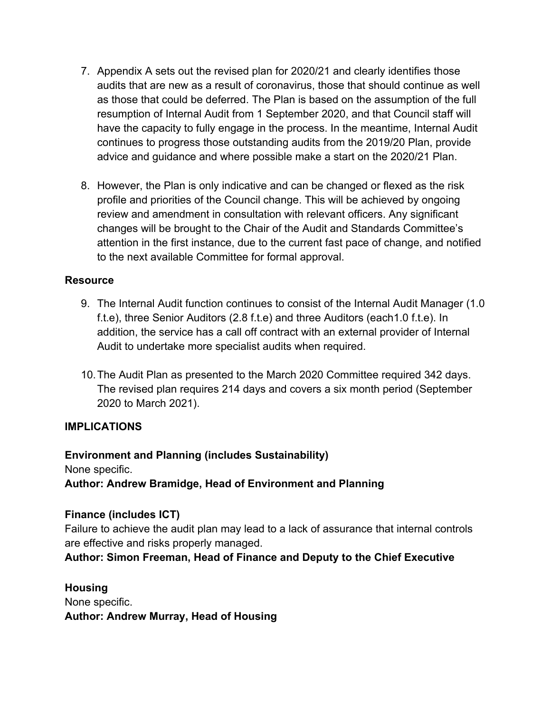- 7. Appendix A sets out the revised plan for 2020/21 and clearly identifies those audits that are new as a result of coronavirus, those that should continue as well as those that could be deferred. The Plan is based on the assumption of the full resumption of Internal Audit from 1 September 2020, and that Council staff will have the capacity to fully engage in the process. In the meantime, Internal Audit continues to progress those outstanding audits from the 2019/20 Plan, provide advice and guidance and where possible make a start on the 2020/21 Plan.
- 8. However, the Plan is only indicative and can be changed or flexed as the risk profile and priorities of the Council change. This will be achieved by ongoing review and amendment in consultation with relevant officers. Any significant changes will be brought to the Chair of the Audit and Standards Committee's attention in the first instance, due to the current fast pace of change, and notified to the next available Committee for formal approval.

#### **Resource**

- 9. The Internal Audit function continues to consist of the Internal Audit Manager (1.0 f.t.e), three Senior Auditors (2.8 f.t.e) and three Auditors (each1.0 f.t.e). In addition, the service has a call off contract with an external provider of Internal Audit to undertake more specialist audits when required.
- 10.The Audit Plan as presented to the March 2020 Committee required 342 days. The revised plan requires 214 days and covers a six month period (September 2020 to March 2021).

## **IMPLICATIONS**

## **Environment and Planning (includes Sustainability)**

None specific.

**Author: Andrew Bramidge, Head of Environment and Planning**

## **Finance (includes ICT)**

Failure to achieve the audit plan may lead to a lack of assurance that internal controls are effective and risks properly managed.

## **Author: Simon Freeman, Head of Finance and Deputy to the Chief Executive**

**Housing** None specific. **Author: Andrew Murray, Head of Housing**